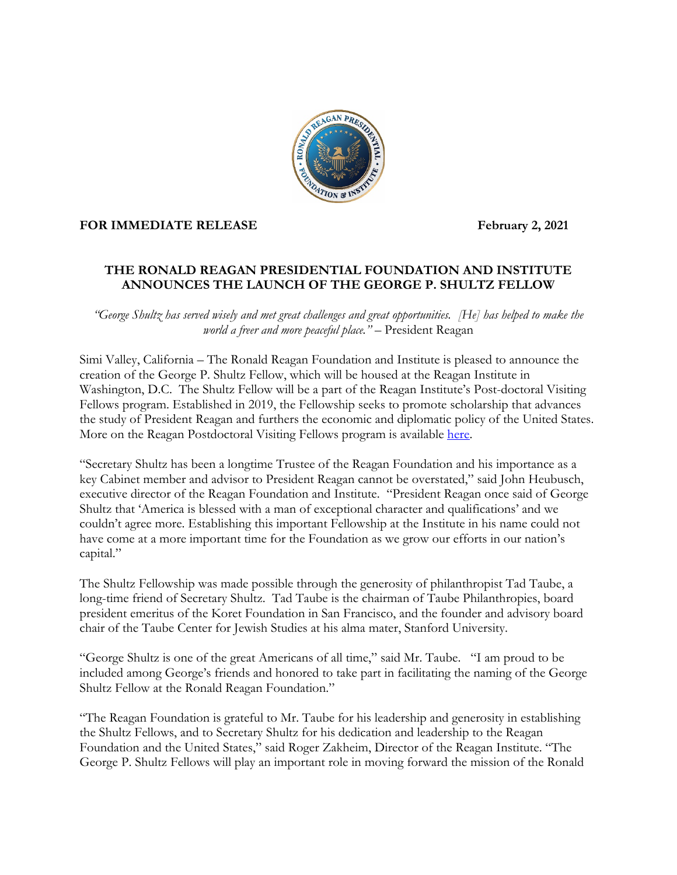

## FOR IMMEDIATE RELEASE **February 2, 2021**

## **THE RONALD REAGAN PRESIDENTIAL FOUNDATION AND INSTITUTE ANNOUNCES THE LAUNCH OF THE GEORGE P. SHULTZ FELLOW**

*"George Shultz has served wisely and met great challenges and great opportunities. [He] has helped to make the world a freer and more peaceful place."* – President Reagan

Simi Valley, California – The Ronald Reagan Foundation and Institute is pleased to announce the creation of the George P. Shultz Fellow, which will be housed at the Reagan Institute in Washington, D.C. The Shultz Fellow will be a part of the Reagan Institute's Post-doctoral Visiting Fellows program. Established in 2019, the Fellowship seeks to promote scholarship that advances the study of President Reagan and furthers the economic and diplomatic policy of the United States. More on the Reagan Postdoctoral Visiting Fellows program is available [here.](https://www.reaganfoundation.org/reagan-institute/scholarly-initiatives/postdoctoral-visiting-fellows-program/)

"Secretary Shultz has been a longtime Trustee of the Reagan Foundation and his importance as a key Cabinet member and advisor to President Reagan cannot be overstated," said John Heubusch, executive director of the Reagan Foundation and Institute. "President Reagan once said of George Shultz that 'America is blessed with a man of exceptional character and qualifications' and we couldn't agree more. Establishing this important Fellowship at the Institute in his name could not have come at a more important time for the Foundation as we grow our efforts in our nation's capital."

The Shultz Fellowship was made possible through the generosity of philanthropist Tad Taube, a long-time friend of Secretary Shultz. Tad Taube is the chairman of Taube Philanthropies, board president emeritus of the Koret Foundation in San Francisco, and the founder and advisory board chair of the Taube Center for Jewish Studies at his alma mater, Stanford University.

"George Shultz is one of the great Americans of all time," said Mr. Taube. "I am proud to be included among George's friends and honored to take part in facilitating the naming of the George Shultz Fellow at the Ronald Reagan Foundation."

"The Reagan Foundation is grateful to Mr. Taube for his leadership and generosity in establishing the Shultz Fellows, and to Secretary Shultz for his dedication and leadership to the Reagan Foundation and the United States," said Roger Zakheim, Director of the Reagan Institute. "The George P. Shultz Fellows will play an important role in moving forward the mission of the Ronald